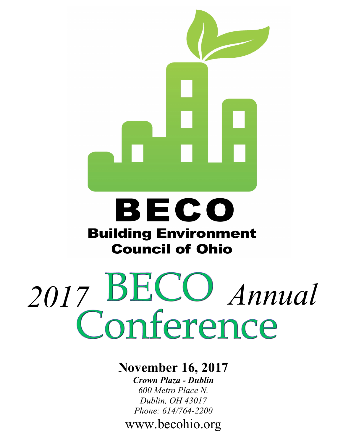

## BECO **Building Environment Council of Ohio**

# 2017 **BECO** *Annual*<br>Conference

## **November 16, 2017**

*Crown Plaza - Dublin 600 Metro Place N. Dublin, OH 43017 Phone: 614/764-2200*

www.becohio.org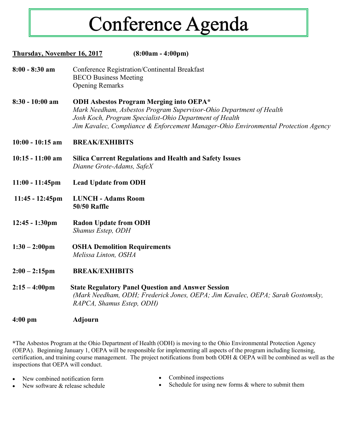# Conference Agenda

#### **Thursday, November 16, 2017 (8:00am - 4:00pm)**

- **8:00 - 8:30 am** Conference Registration/Continental Breakfast BECO Business Meeting Opening Remarks
- **8:30 - 10:00 am ODH Asbestos Program Merging into OEPA\*** *Mark Needham, Asbestos Program Supervisor-Ohio Department of Health Josh Koch, Program Specialist-Ohio Department of Health Jim Kavalec, Compliance & Enforcement Manager-Ohio Environmental Protection Agency*
- **10:00 - 10:15 am BREAK/EXHIBITS**
- **10:15 - 11:00 am Silica Current Regulations and Health and Safety Issues**  *Dianne Grote-Adams, SafeX*
- **11:00 - 11:45pm Lead Update from ODH**
- **11:45 - 12:45pm LUNCH - Adams Room 50/50 Raffle**
- **12:45 - 1:30pm Radon Update from ODH** *Shamus Estep, ODH*
- **1:30 – 2:00pm OSHA Demolition Requirements** *Melissa Linton, OSHA*
- **2:00 – 2:15pm BREAK/EXHIBITS**
- **2:15 – 4:00pm State Regulatory Panel Question and Answer Session** *(Mark Needham, ODH; Frederick Jones, OEPA; Jim Kavalec, OEPA; Sarah Gostomsky, RAPCA, Shamus Estep, ODH)*

**4:00 pm Adjourn**

**\***The Asbestos Program at the Ohio Department of Health (ODH) is moving to the Ohio Environmental Protection Agency (OEPA). Beginning January 1, OEPA will be responsible for implementing all aspects of the program including licensing, certification, and training course management. The project notifications from both ODH & OEPA will be combined as well as the inspections that OEPA will conduct.

New combined notification form

- Combined inspections
- Schedule for using new forms & where to submit them

New software & release schedule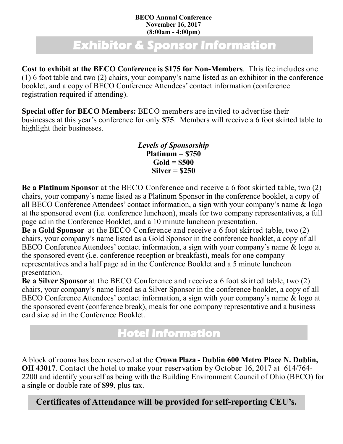#### **BECO Annual Conference November 16, 2017 (8:00am - 4:00pm)**

## **Exhibitor & Sponsor Information**

**Cost to exhibit at the BECO Conference is \$175 for Non-Members**. This fee includes one (1) 6 foot table and two (2) chairs, your company's name listed as an exhibitor in the conference booklet, and a copy of BECO Conference Attendees' contact information (conference registration required if attending).

**Special offer for BECO Members:** BECO members are invited to advertise their businesses at this year's conference for only **\$75**. Members will receive a 6 foot skirted table to highlight their businesses.

> *Levels of Sponsorship* **Platinum = \$750 Gold = \$500 Silver = \$250**

**Be a Platinum Sponsor** at the BECO Conference and receive a 6 foot skirted table, two (2) chairs, your company's name listed as a Platinum Sponsor in the conference booklet, a copy of all BECO Conference Attendees' contact information, a sign with your company's name & logo at the sponsored event (i.e. conference luncheon), meals for two company representatives, a full page ad in the Conference Booklet, and a 10 minute luncheon presentation.

**Be a Gold Sponsor** at the BECO Conference and receive a 6 foot skirted table, two (2) chairs, your company's name listed as a Gold Sponsor in the conference booklet, a copy of all BECO Conference Attendees' contact information, a sign with your company's name & logo at the sponsored event (i.e. conference reception or breakfast), meals for one company representatives and a half page ad in the Conference Booklet and a 5 minute luncheon presentation.

**Be a Silver Sponsor** at the BECO Conference and receive a 6 foot skirted table, two (2) chairs, your company's name listed as a Silver Sponsor in the conference booklet, a copy of all BECO Conference Attendees' contact information, a sign with your company's name & logo at the sponsored event (conference break), meals for one company representative and a business card size ad in the Conference Booklet.

## **Hotel Information**

A block of rooms has been reserved at the **Crown Plaza - Dublin 600 Metro Place N. Dublin, OH 43017**. Contact the hotel to make your reservation by October 16, 2017 at 614/764- 2200 and identify yourself as being with the Building Environment Council of Ohio (BECO) for a single or double rate of **\$99**, plus tax.

**Certificates of Attendance will be provided for self-reporting CEU's.**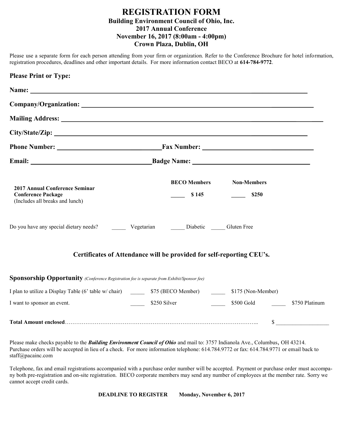#### **REGISTRATION FORM Building Environment Council of Ohio, Inc. 2017 Annual Conference November 16, 2017 (8:00am - 4:00pm) Crown Plaza, Dublin, OH**

Please use a separate form for each person attending from your firm or organization. Refer to the Conference Brochure for hotel information, registration procedures, deadlines and other important details. For more information contact BECO at **614-784-9772**.

| <b>Please Print or Type:</b>                                                                                                                                                                                                   |                                                                       |                             |                |
|--------------------------------------------------------------------------------------------------------------------------------------------------------------------------------------------------------------------------------|-----------------------------------------------------------------------|-----------------------------|----------------|
| Name: Name and the set of the set of the set of the set of the set of the set of the set of the set of the set of the set of the set of the set of the set of the set of the set of the set of the set of the set of the set o |                                                                       |                             |                |
|                                                                                                                                                                                                                                |                                                                       |                             |                |
| Mailing Address: 1988 and 2008 and 2008 and 2008 and 2008 and 2008 and 2008 and 2008 and 2008 and 2008 and 200                                                                                                                 |                                                                       |                             |                |
| City/State/Zip: The City State of the City State of the City State of the City State of the City State of the City State of the City State of the City State of the City State of the City State of the City State of the City |                                                                       |                             |                |
|                                                                                                                                                                                                                                |                                                                       |                             |                |
|                                                                                                                                                                                                                                |                                                                       |                             |                |
| <b>2017 Annual Conference Seminar</b><br><b>Conference Package</b><br>(Includes all breaks and lunch)                                                                                                                          | <b>BECO Members</b><br>\$145                                          | <b>Non-Members</b><br>\$250 |                |
| Do you have any special dietary needs? Vegetarian Diabetic Cluten Free                                                                                                                                                         |                                                                       |                             |                |
|                                                                                                                                                                                                                                | Certificates of Attendance will be provided for self-reporting CEU's. |                             |                |
| <b>Sponsorship Opportunity</b> (Conference Registration fee is separate from Exhibit/Sponsor fee)                                                                                                                              |                                                                       |                             |                |
| I plan to utilize a Display Table (6' table w/ chair) 575 (BECO Member) 5175 (Non-Member)                                                                                                                                      |                                                                       |                             |                |
| I want to sponsor an event.                                                                                                                                                                                                    | \$250 Silver \$500 Gold                                               |                             | \$750 Platinum |
|                                                                                                                                                                                                                                |                                                                       | \$                          |                |

Please make checks payable to the *Building Environment Council of Ohio* and mail to: 3757 Indianola Ave., Columbus, OH 43214. Purchase orders will be accepted in lieu of a check. For more information telephone: 614.784.9772 or fax: 614.784.9771 or email back to staff@pacainc.com

Telephone, fax and email registrations accompanied with a purchase order number will be accepted. Payment or purchase order must accompany both pre-registration and on-site registration. BECO corporate members may send any number of employees at the member rate. Sorry we cannot accept credit cards.

**DEADLINE TO REGISTER Monday, November 6, 2017**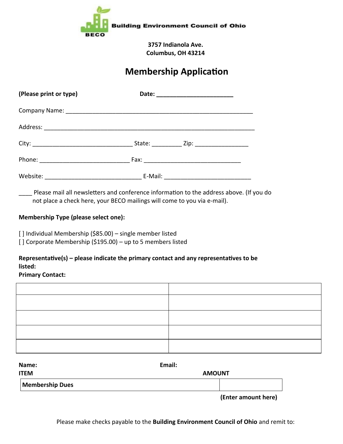

**3757 Indianola Ave. Columbus, OH 43214**

## **Membership Application**

| (Please print or type) | Date: __________________________ |                                              |
|------------------------|----------------------------------|----------------------------------------------|
|                        |                                  |                                              |
|                        |                                  |                                              |
|                        |                                  | State: _________ Zip: ______________________ |
|                        |                                  |                                              |
| Website:               |                                  |                                              |

Please mail all newsletters and conference information to the address above. (If you do not place a check here, your BECO mailings will come to you via e-mail).

#### **Membership Type (please select one):**

[ ] Individual Membership (\$85.00) – single member listed

[] Corporate Membership (\$195.00) – up to 5 members listed

### **Representative(s) – please indicate the primary contact and any representatives to be listed:**

#### **Primary Contact:**

| Name:                  | Email:              |  |
|------------------------|---------------------|--|
| <b>ITEM</b>            | <b>AMOUNT</b>       |  |
| <b>Membership Dues</b> |                     |  |
|                        | (Enter amount here) |  |

Please make checks payable to the **Building Environment Council of Ohio** and remit to: